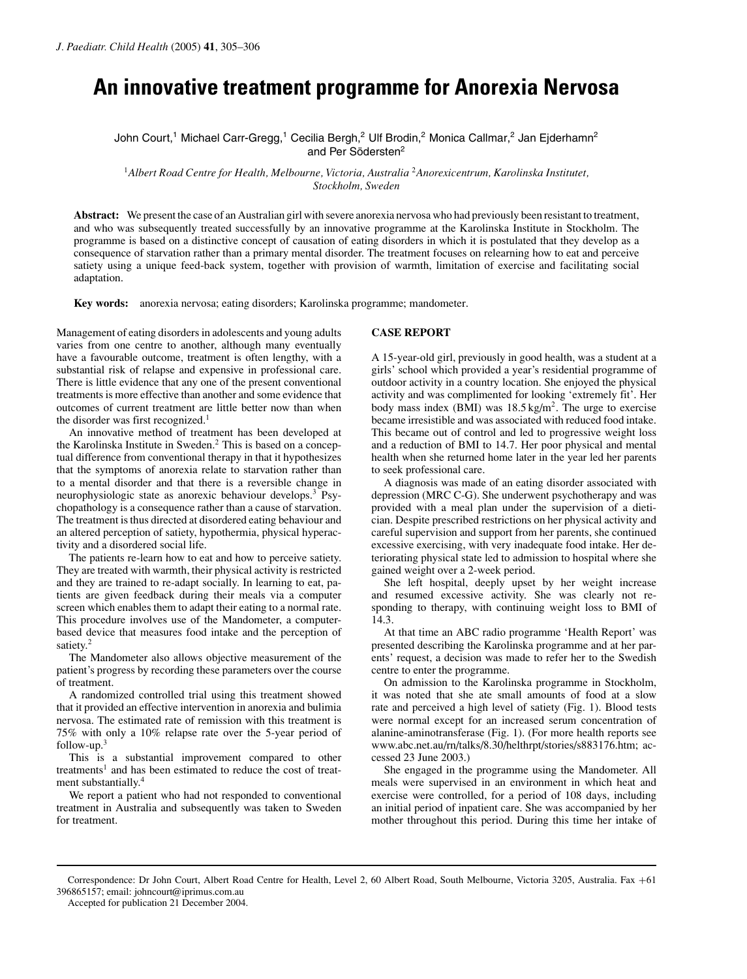## **An innovative treatment programme for Anorexia Nervosa**

John Court,<sup>1</sup> Michael Carr-Gregg,<sup>1</sup> Cecilia Bergh,<sup>2</sup> Ulf Brodin,<sup>2</sup> Monica Callmar,<sup>2</sup> Jan Ejderhamn<sup>2</sup> and Per Södersten<sup>2</sup>

<sup>1</sup>*Albert Road Centre for Health, Melbourne, Victoria, Australia* <sup>2</sup>*Anorexicentrum, Karolinska Institutet, Stockholm, Sweden*

**Abstract:** We present the case of an Australian girl with severe anorexia nervosa who had previously been resistant to treatment, and who was subsequently treated successfully by an innovative programme at the Karolinska Institute in Stockholm. The programme is based on a distinctive concept of causation of eating disorders in which it is postulated that they develop as a consequence of starvation rather than a primary mental disorder. The treatment focuses on relearning how to eat and perceive satiety using a unique feed-back system, together with provision of warmth, limitation of exercise and facilitating social adaptation.

**Key words:** anorexia nervosa; eating disorders; Karolinska programme; mandometer.

Management of eating disorders in adolescents and young adults varies from one centre to another, although many eventually have a favourable outcome, treatment is often lengthy, with a substantial risk of relapse and expensive in professional care. There is little evidence that any one of the present conventional treatments is more effective than another and some evidence that outcomes of current treatment are little better now than when the disorder was first recognized.<sup>1</sup>

An innovative method of treatment has been developed at the Karolinska Institute in Sweden.<sup>2</sup> This is based on a conceptual difference from conventional therapy in that it hypothesizes that the symptoms of anorexia relate to starvation rather than to a mental disorder and that there is a reversible change in neurophysiologic state as anorexic behaviour develops.3 Psychopathology is a consequence rather than a cause of starvation. The treatment is thus directed at disordered eating behaviour and an altered perception of satiety, hypothermia, physical hyperactivity and a disordered social life.

The patients re-learn how to eat and how to perceive satiety. They are treated with warmth, their physical activity is restricted and they are trained to re-adapt socially. In learning to eat, patients are given feedback during their meals via a computer screen which enables them to adapt their eating to a normal rate. This procedure involves use of the Mandometer, a computerbased device that measures food intake and the perception of satiety.<sup>2</sup>

The Mandometer also allows objective measurement of the patient's progress by recording these parameters over the course of treatment.

A randomized controlled trial using this treatment showed that it provided an effective intervention in anorexia and bulimia nervosa. The estimated rate of remission with this treatment is 75% with only a 10% relapse rate over the 5-year period of follow-up. $3$ 

This is a substantial improvement compared to other treatments<sup>1</sup> and has been estimated to reduce the cost of treatment substantially.<sup>4</sup>

We report a patient who had not responded to conventional treatment in Australia and subsequently was taken to Sweden for treatment.

## **CASE REPORT**

A 15-year-old girl, previously in good health, was a student at a girls' school which provided a year's residential programme of outdoor activity in a country location. She enjoyed the physical activity and was complimented for looking 'extremely fit'. Her body mass index (BMI) was  $18.5 \text{ kg/m}^2$ . The urge to exercise became irresistible and was associated with reduced food intake. This became out of control and led to progressive weight loss and a reduction of BMI to 14.7. Her poor physical and mental health when she returned home later in the year led her parents to seek professional care.

A diagnosis was made of an eating disorder associated with depression (MRC C-G). She underwent psychotherapy and was provided with a meal plan under the supervision of a dietician. Despite prescribed restrictions on her physical activity and careful supervision and support from her parents, she continued excessive exercising, with very inadequate food intake. Her deteriorating physical state led to admission to hospital where she gained weight over a 2-week period.

She left hospital, deeply upset by her weight increase and resumed excessive activity. She was clearly not responding to therapy, with continuing weight loss to BMI of 14.3.

At that time an ABC radio programme 'Health Report' was presented describing the Karolinska programme and at her parents' request, a decision was made to refer her to the Swedish centre to enter the programme.

On admission to the Karolinska programme in Stockholm, it was noted that she ate small amounts of food at a slow rate and perceived a high level of satiety (Fig. 1). Blood tests were normal except for an increased serum concentration of alanine-aminotransferase (Fig. 1). (For more health reports see www.abc.net.au/rn/talks/8.30/helthrpt/stories/s883176.htm; accessed 23 June 2003.)

She engaged in the programme using the Mandometer. All meals were supervised in an environment in which heat and exercise were controlled, for a period of 108 days, including an initial period of inpatient care. She was accompanied by her mother throughout this period. During this time her intake of

Correspondence: Dr John Court, Albert Road Centre for Health, Level 2, 60 Albert Road, South Melbourne, Victoria 3205, Australia. Fax +61 396865157; email: johncourt@iprimus.com.au

Accepted for publication 21 December 2004.